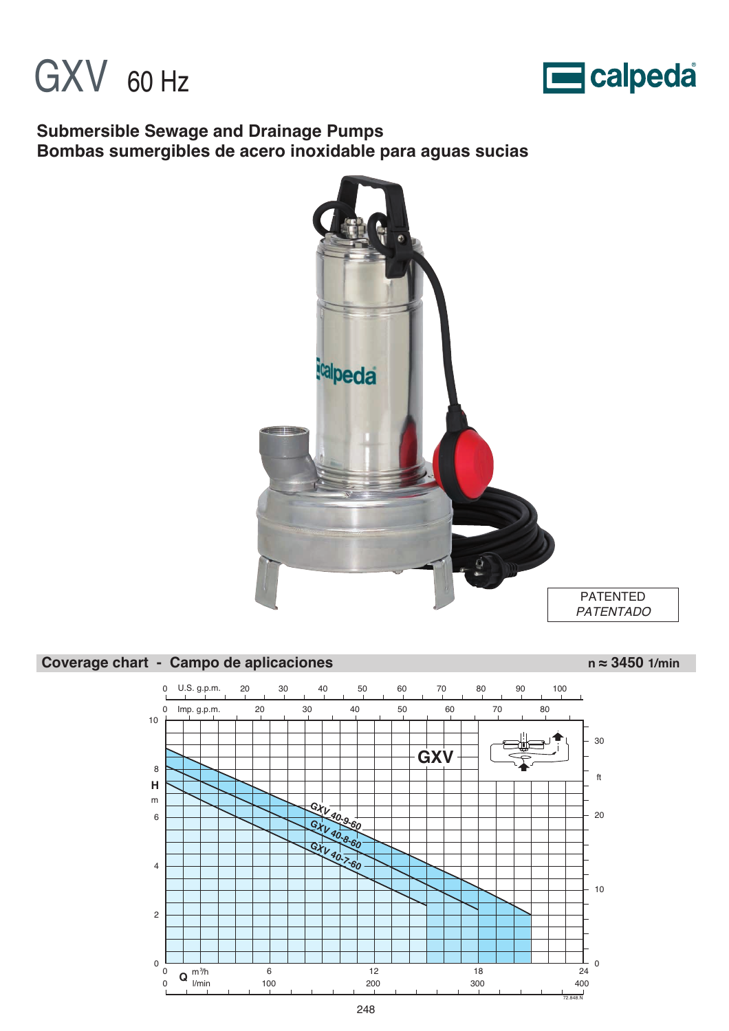



### **Submersible Sewage and Drainage Pumps Bombas sumergibles de acero inoxidable para aguas sucias**



#### Coverage chart - Campo de aplicaciones n ≈ 3450 1/min

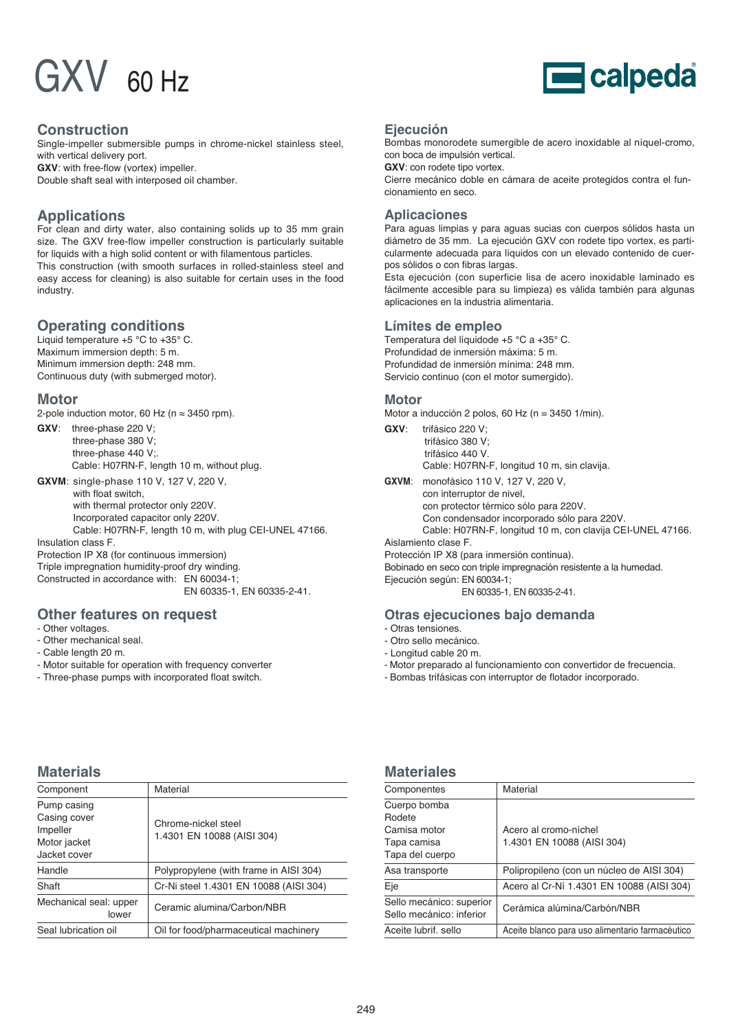# $\mathsf{G} \mathsf{X} \mathsf{V}$  60 Hz



#### **Construction**

Single-impeller submersible pumps in chrome-nickel stainless steel, with vertical delivery port.

**GXV**: with free-flow (vortex) impeller. Double shaft seal with interposed oil chamber.

#### **Applications**

For clean and dirty water, also containing solids up to 35 mm grain size. The GXV free-flow impeller construction is particularly suitable for liquids with a high solid content or with filamentous particles. This construction (with smooth surfaces in rolled-stainless steel and easy access for cleaning) is also suitable for certain uses in the food industry.

#### **Operating conditions**

Liquid temperature +5 °C to +35° C. Maximum immersion depth: 5 m. Minimum immersion depth: 248 mm. Continuous duty (with submerged motor).

#### **Motor**

2-pole induction motor, 60 Hz ( $n \approx 3450$  rpm).

**GXV**: three-phase 220 V; three-phase 380 V; three-phase 440 V;. Cable: H07RN-F, length 10 m, without plug.

**GXVM**: single-phase 110 V, 127 V, 220 V, with float switch with thermal protector only 220V. Incorporated capacitor only 220V. Cable: H07RN-F, length 10 m, with plug CEI-UNEL 47166.

Insulation class F. Protection IP X8 (for continuous immersion) Triple impregnation humidity-proof dry winding. Constructed in accordance with: EN 60034-1; EN 60335-1, EN 60335-2-41.

#### **Other features on request**

- Other voltages.
- Other mechanical seal.
- Cable length 20 m.
- Motor suitable for operation with frequency converter
- Three-phase pumps with incorporated float switch.

#### **Ejecución**

Bombas monorodete sumergible de acero inoxidable al níquel-cromo, con boca de impulsión vertical.

**GXV**: con rodete tipo vortex.

Cierre mecánico doble en cámara de aceite protegidos contra el funcionamiento en seco.

#### **Aplicaciones**

Para aguas limpias y para aguas sucias con cuerpos sólidos hasta un diámetro de 35 mm. La ejecución GXV con rodete tipo vortex, es particularmente adecuada para líquidos con un elevado contenido de cuerpos sólidos o con fibras largas.

Esta ejecución (con superficie lisa de acero inoxidable laminado es fácilmente accesible para su limpieza) es válida también para algunas aplicaciones en la industria alimentaria.

#### **Límites de empleo**

Temperatura del líquidode +5 °C a +35° C. Profundidad de inmersión máxima: 5 m. Profundidad de inmersión mínima: 248 mm. Servicio continuo (con el motor sumergido).

#### **Motor**

Motor a inducción 2 polos, 60 Hz (n = 3450 1/min).

**GXV**: trifásico 220 V; trifásico 380 V; trifásico 440 V. Cable: H07RN-F, longitud 10 m, sin clavija.

**GXVM**: monofásico 110 V, 127 V, 220 V,

con interruptor de nivel, con protector térmico sólo para 220V. Con condensador incorporado sólo para 220V. Cable: H07RN-F, longitud 10 m, con clavija CEI-UNEL 47166.

Aislamiento clase F.

Protección IP X8 (para inmersión continua).

Bobinado en seco con triple impregnación resistente a la humedad.

Ejecución según: EN 60034-1; EN 60335-1, EN 60335-2-41.

#### **Otras ejecuciones bajo demanda**

- Otras tensiones.
- Otro sello mecánico.
- Longitud cable 20 m.
- Motor preparado al funcionamiento con convertidor de frecuencia.
- Bombas trifásicas con interruptor de flotador incorporado.

#### **Materials**

| Component                                                               | Material                                          |
|-------------------------------------------------------------------------|---------------------------------------------------|
| Pump casing<br>Casing cover<br>Impeller<br>Motor jacket<br>Jacket cover | Chrome-nickel steel<br>1.4301 EN 10088 (AISI 304) |
| Handle                                                                  | Polypropylene (with frame in AISI 304)            |
| Shaft                                                                   | Cr-Ni steel 1.4301 EN 10088 (AISI 304)            |
| Mechanical seal: upper<br>lower                                         | Ceramic alumina/Carbon/NBR                        |
| Seal lubrication oil                                                    | Oil for food/pharmaceutical machinery             |

#### **Materiales**

| Componentes                                          | Material                                        |
|------------------------------------------------------|-------------------------------------------------|
| Cuerpo bomba                                         |                                                 |
| Rodete                                               |                                                 |
| Camisa motor                                         | Acero al cromo-níchel                           |
| Tapa camisa                                          | 1.4301 EN 10088 (AISI 304)                      |
| Tapa del cuerpo                                      |                                                 |
| Asa transporte                                       | Polipropileno (con un núcleo de AISI 304)       |
| Eje                                                  | Acero al Cr-Ní 1.4301 EN 10088 (AISI 304)       |
| Sello mecánico: superior<br>Sello mecánico: inferior | Cerámica alúmina/Carbón/NBR                     |
| Aceite lubrif, sello                                 | Aceite blanco para uso alimentario farmacéutico |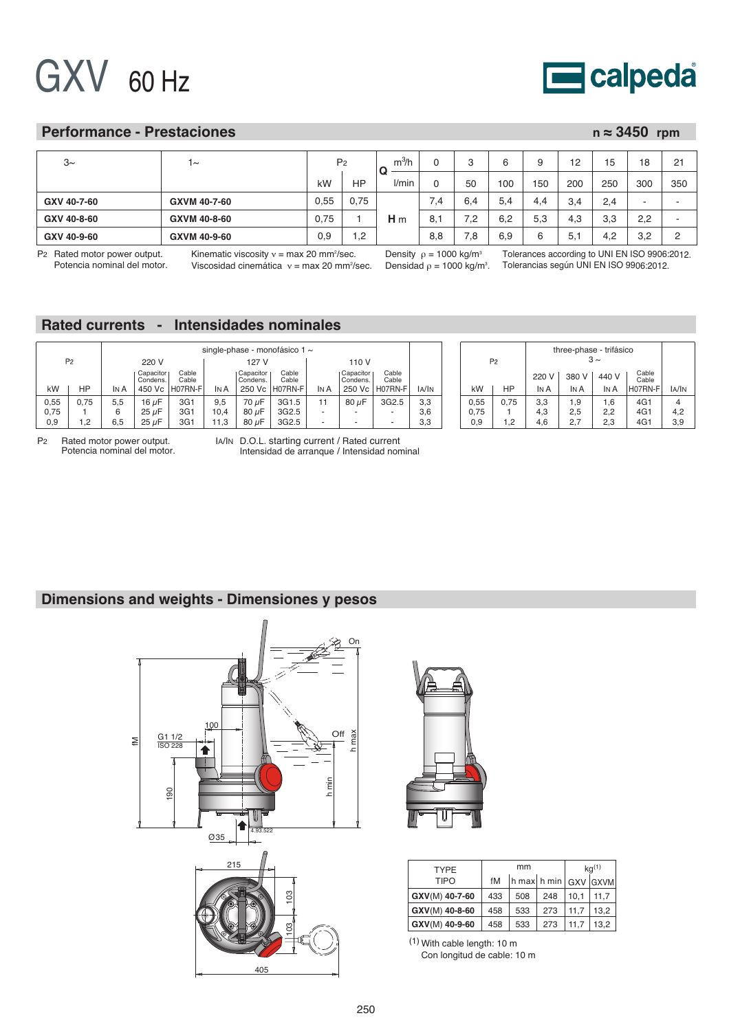## GXV 60 Hz



#### **Performance - Prestaciones**

| $n \approx 3450$ rpm |
|----------------------|
|----------------------|

| $3\sim$     | 1∼           | P <sub>2</sub> |                | m <sup>3</sup> /h | 0   |     |     |     | 12<br>c | 15  | 18  | 21          |
|-------------|--------------|----------------|----------------|-------------------|-----|-----|-----|-----|---------|-----|-----|-------------|
|             |              | kW             | <b>HP</b>      | U<br>l/min        | 0   | 50  | 100 | 150 | 200     | 250 | 300 | 350         |
| GXV 40-7-60 | GXVM 40-7-60 | 0,55           | 0,75           |                   | 7.4 | 6.4 | 5.4 | 4.4 | 3.4     | 2,4 |     |             |
| GXV 40-8-60 | GXVM 40-8-60 | 0,75           |                | H <sub>m</sub>    | 8,1 | 7.2 | 6.2 | 5.3 | 4.3     | 3,3 | 2,2 |             |
| GXV 40-9-60 | GXVM 40-9-60 | 0,9            | $^{\prime}$ .2 |                   | 8,8 | 8.' | 6.9 | 6   | 5,      | 4.2 | 3,2 | $\sim$<br>∼ |

P<sup>2</sup> Rated motor power output. Potencia nominal del motor.

Kinematic viscosity ν = max 20 mm²/sec. Viscosidad cinemática ν = max 20 mm²/sec. Density  $\rho$  = 1000 kg/m $^{\rm 3}$ Densidad ρ = 1000 kg/m $^{\rm 3}$ .

Tolerances according to UNI EN ISO 9906:2012. Tolerancias según UNI EN ISO 9906:2012.

### **Rated currents - Intensidades nominales**

|                | single-phase - monofásico 1 $\sim$ |                         |                       |                 |      |                       |                |                            |                          |                          |       |      | three-phase - trifásico |       |       |       |                |       |
|----------------|------------------------------------|-------------------------|-----------------------|-----------------|------|-----------------------|----------------|----------------------------|--------------------------|--------------------------|-------|------|-------------------------|-------|-------|-------|----------------|-------|
| P <sub>2</sub> |                                    | 220 V<br>127 V<br>110 V |                       |                 |      |                       |                | $3 \sim$<br>P <sub>2</sub> |                          |                          |       |      |                         |       |       |       |                |       |
|                |                                    |                         | Capacitor<br>Condens. | Cable<br>Cable  |      | Capacitor<br>Condens. | Cable<br>Cable |                            | Capacitor<br>Condens.    | Cable<br>Cable           |       |      |                         | 220 V | 380 V | 440 V | Cable<br>Cable |       |
| kW             | НP                                 | IN A                    |                       | 450 Vc H07RN-FI | In A |                       | 250 Vc H07RN-F | IN A                       | 250 Vc                   | H07RN-F                  | la/In | kW   | HP                      | IN A  | IN A  | IN A  | H07RN-F        | IA/IN |
| 0,55           | 0.75                               | 5.5                     | 16 $\mu$ F            | 3G1             | 9,5  | 70 µF                 | 3G1.5          | 11                         | 80 uF                    | 3G2.5                    | 3,3   | 0.55 | 0.75                    | 3.3   | 9. ،  | .6    | 4G1            |       |
| 0,75           |                                    |                         | $25 \mu F$            | 3G1             | 10,4 | 80 uF                 | 3G2.5          |                            | $\overline{\phantom{a}}$ |                          | 3.6   | 0.75 |                         | 4.3   | 2.5   | 2.2   | 4G1            | 4.2   |
| 0,9            | - 2                                | 6.5                     | $25 \mu F$            | 3G1             | 11.3 | $80 \mu F$            | 3G2.5          |                            | $\overline{\phantom{a}}$ | $\overline{\phantom{a}}$ | 3,3   | 0.9  | റ                       | 4.6   | 2.7   | 2.3   | 4G1            | 3,9   |

P2 Rated motor power output. Potencia nominal del motor. IA/IN D.O.L. starting current / Rated current Intensidad de arranque / Intensidad nominal

#### **Dimensions and weights - Dimensiones y pesos**





| <b>TYPE</b>    |     | mm                       | $kq^{(1)}$ |      |             |  |
|----------------|-----|--------------------------|------------|------|-------------|--|
| TIPO           | fM  | $\ln \max \ln \min \log$ |            |      | <b>GXVM</b> |  |
| GXV(M) 40-7-60 | 433 | 508                      | 248        | 10.1 | 11.7        |  |
| GXV(M) 40-8-60 | 458 | 533                      | 273        | 11.7 | 13.2        |  |
| GXV(M) 40-9-60 | 458 | 533                      | 273        | 11.7 | 13.2        |  |

(1) With cable length: 10 m

Con longitud de cable: 10 m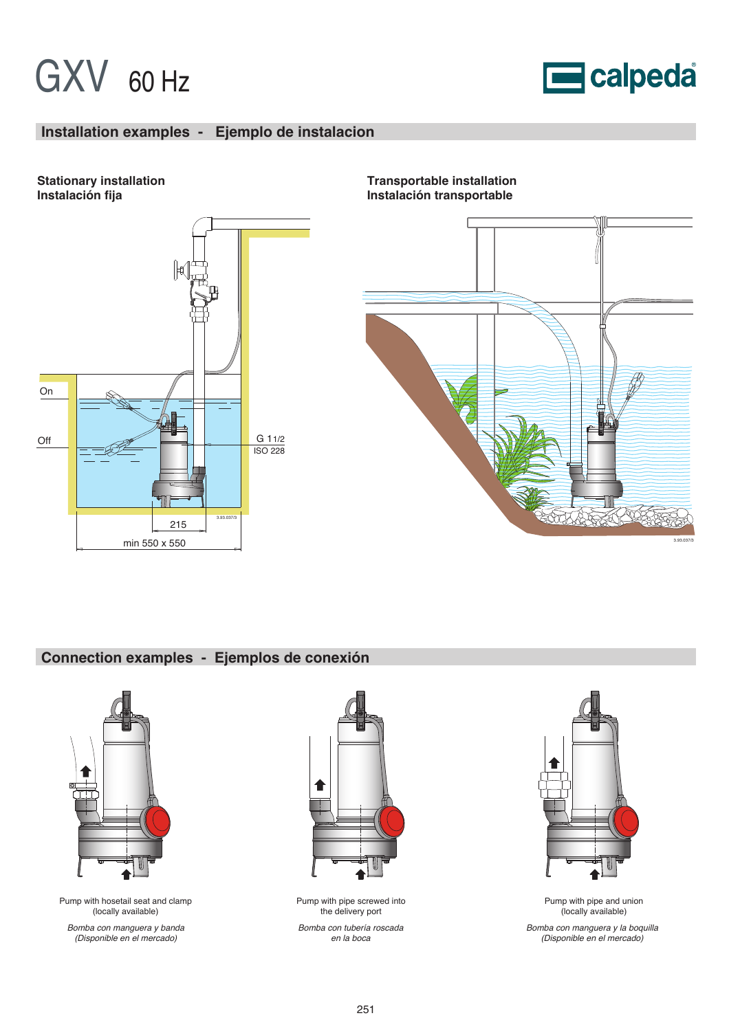## GXV 60 Hz



#### **Installation examples - Ejemplo de instalacion**





**Transportable installation Instalación transportable**



### **Connection examples - Ejemplos de conexión**



Pump with hosetail seat and clamp (locally available)

Bomba con manguera y banda (Disponible en el mercado)



Pump with pipe screwed into the delivery port

Bomba con tubería roscada en la boca



Pump with pipe and union (locally available)

Bomba con manguera y la boquilla (Disponible en el mercado)